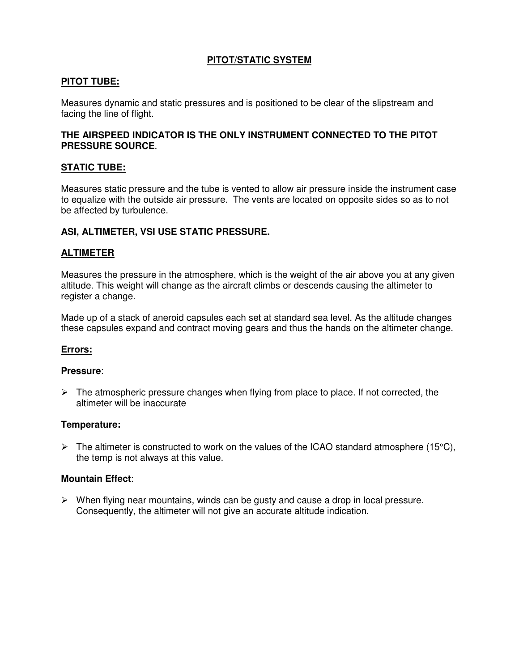# **PITOT/STATIC SYSTEM**

# **PITOT TUBE:**

Measures dynamic and static pressures and is positioned to be clear of the slipstream and facing the line of flight.

### **THE AIRSPEED INDICATOR IS THE ONLY INSTRUMENT CONNECTED TO THE PITOT PRESSURE SOURCE**.

### **STATIC TUBE:**

Measures static pressure and the tube is vented to allow air pressure inside the instrument case to equalize with the outside air pressure. The vents are located on opposite sides so as to not be affected by turbulence.

### **ASI, ALTIMETER, VSI USE STATIC PRESSURE.**

### **ALTIMETER**

Measures the pressure in the atmosphere, which is the weight of the air above you at any given altitude. This weight will change as the aircraft climbs or descends causing the altimeter to register a change.

Made up of a stack of aneroid capsules each set at standard sea level. As the altitude changes these capsules expand and contract moving gears and thus the hands on the altimeter change.

#### **Errors:**

#### **Pressure**:

 $\triangleright$  The atmospheric pressure changes when flying from place to place. If not corrected, the altimeter will be inaccurate

#### **Temperature:**

 $\triangleright$  The altimeter is constructed to work on the values of the ICAO standard atmosphere (15°C), the temp is not always at this value.

#### **Mountain Effect**:

 $\triangleright$  When flying near mountains, winds can be gusty and cause a drop in local pressure. Consequently, the altimeter will not give an accurate altitude indication.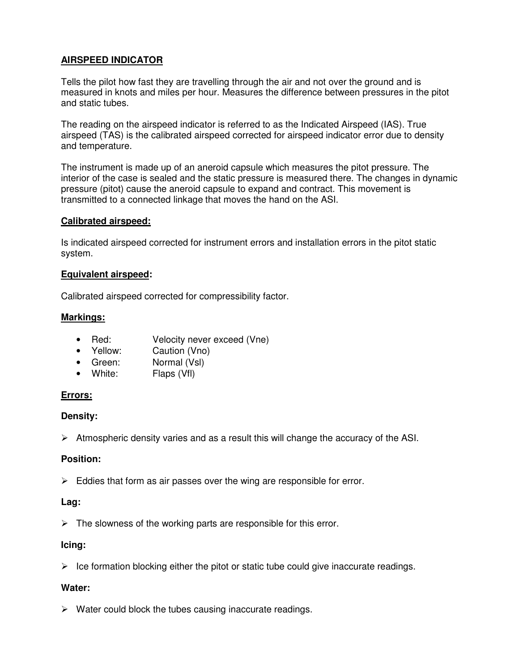# **AIRSPEED INDICATOR**

Tells the pilot how fast they are travelling through the air and not over the ground and is measured in knots and miles per hour. Measures the difference between pressures in the pitot and static tubes.

The reading on the airspeed indicator is referred to as the Indicated Airspeed (IAS). True airspeed (TAS) is the calibrated airspeed corrected for airspeed indicator error due to density and temperature.

The instrument is made up of an aneroid capsule which measures the pitot pressure. The interior of the case is sealed and the static pressure is measured there. The changes in dynamic pressure (pitot) cause the aneroid capsule to expand and contract. This movement is transmitted to a connected linkage that moves the hand on the ASI.

# **Calibrated airspeed:**

Is indicated airspeed corrected for instrument errors and installation errors in the pitot static system.

### **Equivalent airspeed:**

Calibrated airspeed corrected for compressibility factor.

### **Markings:**

- Red: Velocity never exceed (Vne)
- Yellow: Caution (Vno)
- Green: Normal (VsI)
- White: Flaps (Vfl)

# **Errors:**

# **Density:**

 $\triangleright$  Atmospheric density varies and as a result this will change the accuracy of the ASI.

# **Position:**

 $\triangleright$  Eddies that form as air passes over the wing are responsible for error.

# **Lag:**

 $\triangleright$  The slowness of the working parts are responsible for this error.

# **Icing:**

 $\triangleright$  Ice formation blocking either the pitot or static tube could give inaccurate readings.

# **Water:**

 $\triangleright$  Water could block the tubes causing inaccurate readings.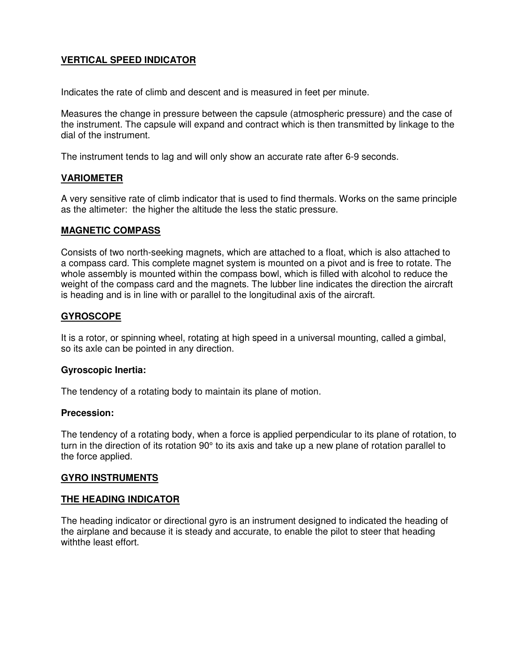# **VERTICAL SPEED INDICATOR**

Indicates the rate of climb and descent and is measured in feet per minute.

Measures the change in pressure between the capsule (atmospheric pressure) and the case of the instrument. The capsule will expand and contract which is then transmitted by linkage to the dial of the instrument.

The instrument tends to lag and will only show an accurate rate after 6-9 seconds.

# **VARIOMETER**

A very sensitive rate of climb indicator that is used to find thermals. Works on the same principle as the altimeter: the higher the altitude the less the static pressure.

### **MAGNETIC COMPASS**

Consists of two north-seeking magnets, which are attached to a float, which is also attached to a compass card. This complete magnet system is mounted on a pivot and is free to rotate. The whole assembly is mounted within the compass bowl, which is filled with alcohol to reduce the weight of the compass card and the magnets. The lubber line indicates the direction the aircraft is heading and is in line with or parallel to the longitudinal axis of the aircraft.

# **GYROSCOPE**

It is a rotor, or spinning wheel, rotating at high speed in a universal mounting, called a gimbal, so its axle can be pointed in any direction.

#### **Gyroscopic Inertia:**

The tendency of a rotating body to maintain its plane of motion.

#### **Precession:**

The tendency of a rotating body, when a force is applied perpendicular to its plane of rotation, to turn in the direction of its rotation 90° to its axis and take up a new plane of rotation parallel to the force applied.

# **GYRO INSTRUMENTS**

#### **THE HEADING INDICATOR**

The heading indicator or directional gyro is an instrument designed to indicated the heading of the airplane and because it is steady and accurate, to enable the pilot to steer that heading withthe least effort.